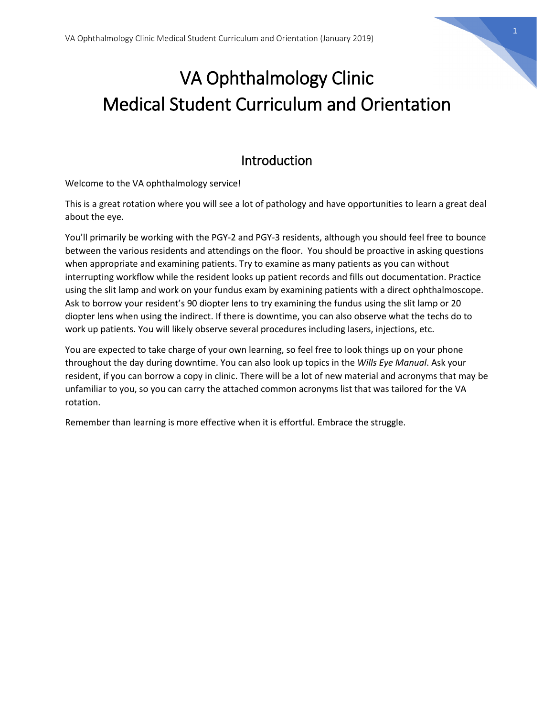

# VA Ophthalmology Clinic Medical Student Curriculum and Orientation

## Introduction

Welcome to the VA ophthalmology service!

This is a great rotation where you will see a lot of pathology and have opportunities to learn a great deal about the eye.

You'll primarily be working with the PGY-2 and PGY-3 residents, although you should feel free to bounce between the various residents and attendings on the floor. You should be proactive in asking questions when appropriate and examining patients. Try to examine as many patients as you can without interrupting workflow while the resident looks up patient records and fills out documentation. Practice using the slit lamp and work on your fundus exam by examining patients with a direct ophthalmoscope. Ask to borrow your resident's 90 diopter lens to try examining the fundus using the slit lamp or 20 diopter lens when using the indirect. If there is downtime, you can also observe what the techs do to work up patients. You will likely observe several procedures including lasers, injections, etc.

You are expected to take charge of your own learning, so feel free to look things up on your phone throughout the day during downtime. You can also look up topics in the *Wills Eye Manual*. Ask your resident, if you can borrow a copy in clinic. There will be a lot of new material and acronyms that may be unfamiliar to you, so you can carry the attached common acronyms list that was tailored for the VA rotation.

Remember than learning is more effective when it is effortful. Embrace the struggle.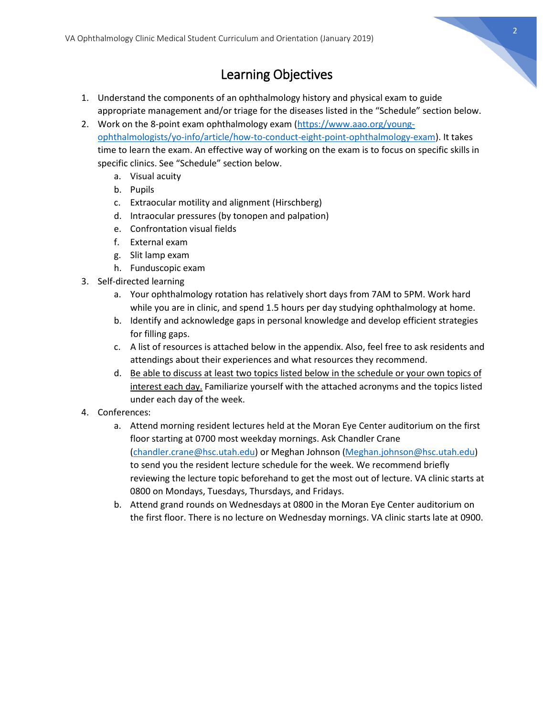

# Learning Objectives

- 1. Understand the components of an ophthalmology history and physical exam to guide appropriate management and/or triage for the diseases listed in the "Schedule" section below.
- 2. Work on the 8-point exam ophthalmology exam [\(https://www.aao.org/young](https://www.aao.org/young-ophthalmologists/yo-info/article/how-to-conduct-eight-point-ophthalmology-exam)[ophthalmologists/yo-info/article/how-to-conduct-eight-point-ophthalmology-exam\)](https://www.aao.org/young-ophthalmologists/yo-info/article/how-to-conduct-eight-point-ophthalmology-exam). It takes time to learn the exam. An effective way of working on the exam is to focus on specific skills in specific clinics. See "Schedule" section below.
	- a. Visual acuity
	- b. Pupils
	- c. Extraocular motility and alignment (Hirschberg)
	- d. Intraocular pressures (by tonopen and palpation)
	- e. Confrontation visual fields
	- f. External exam
	- g. Slit lamp exam
	- h. Funduscopic exam
- 3. Self-directed learning
	- a. Your ophthalmology rotation has relatively short days from 7AM to 5PM. Work hard while you are in clinic, and spend 1.5 hours per day studying ophthalmology at home.
	- b. Identify and acknowledge gaps in personal knowledge and develop efficient strategies for filling gaps.
	- c. A list of resources is attached below in the appendix. Also, feel free to ask residents and attendings about their experiences and what resources they recommend.
	- d. Be able to discuss at least two topics listed below in the schedule or your own topics of interest each day. Familiarize yourself with the attached acronyms and the topics listed under each day of the week.
- 4. Conferences:
	- a. Attend morning resident lectures held at the Moran Eye Center auditorium on the first floor starting at 0700 most weekday mornings. Ask Chandler Crane [\(chandler.crane@hsc.utah.edu\)](mailto:chandler.crane@hsc.utah.edu) or Meghan Johnson [\(Meghan.johnson@hsc.utah.edu\)](mailto:Meghan.johnson@hsc.utah.edu) to send you the resident lecture schedule for the week. We recommend briefly reviewing the lecture topic beforehand to get the most out of lecture. VA clinic starts at 0800 on Mondays, Tuesdays, Thursdays, and Fridays.
	- b. Attend grand rounds on Wednesdays at 0800 in the Moran Eye Center auditorium on the first floor. There is no lecture on Wednesday mornings. VA clinic starts late at 0900.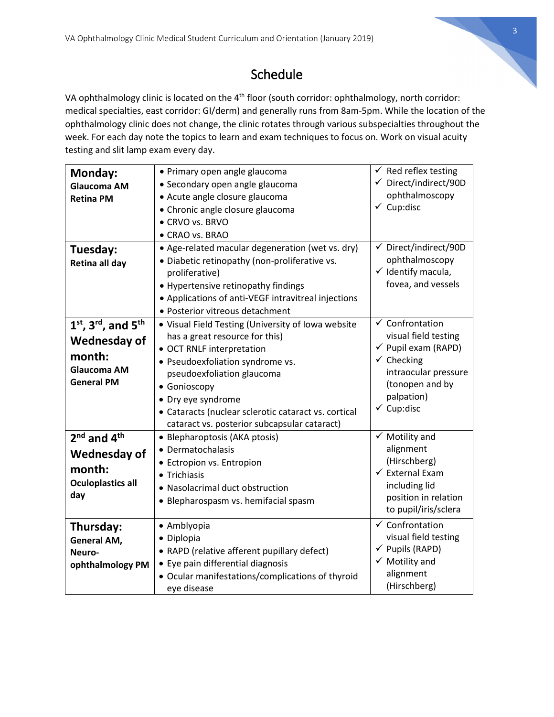

# Schedule

VA ophthalmology clinic is located on the 4<sup>th</sup> floor (south corridor: ophthalmology, north corridor: medical specialties, east corridor: GI/derm) and generally runs from 8am-5pm. While the location of the ophthalmology clinic does not change, the clinic rotates through various subspecialties throughout the week. For each day note the topics to learn and exam techniques to focus on. Work on visual acuity testing and slit lamp exam every day.

| Monday:                                       | • Primary open angle glaucoma                        | $\checkmark$ Red reflex testing  |
|-----------------------------------------------|------------------------------------------------------|----------------------------------|
| <b>Glaucoma AM</b>                            | • Secondary open angle glaucoma                      | $\checkmark$ Direct/indirect/90D |
| <b>Retina PM</b>                              | • Acute angle closure glaucoma                       | ophthalmoscopy                   |
|                                               | • Chronic angle closure glaucoma                     | $\checkmark$ Cup:disc            |
|                                               | • CRVO vs. BRVO                                      |                                  |
|                                               | • CRAO vs. BRAO                                      |                                  |
| Tuesday:                                      | • Age-related macular degeneration (wet vs. dry)     | ✔ Direct/indirect/90D            |
| Retina all day                                | · Diabetic retinopathy (non-proliferative vs.        | ophthalmoscopy                   |
|                                               | proliferative)                                       | $\checkmark$ Identify macula,    |
|                                               | • Hypertensive retinopathy findings                  | fovea, and vessels               |
|                                               | • Applications of anti-VEGF intravitreal injections  |                                  |
|                                               | • Posterior vitreous detachment                      |                                  |
| $1st$ , 3 <sup>rd</sup> , and 5 <sup>th</sup> | • Visual Field Testing (University of Iowa website   | $\checkmark$ Confrontation       |
| <b>Wednesday of</b>                           | has a great resource for this)                       | visual field testing             |
|                                               | • OCT RNLF interpretation                            | $\checkmark$ Pupil exam (RAPD)   |
| month:                                        | · Pseudoexfoliation syndrome vs.                     | $\checkmark$ Checking            |
| Glaucoma AM                                   | pseudoexfoliation glaucoma                           | intraocular pressure             |
| <b>General PM</b>                             | • Gonioscopy                                         | (tonopen and by                  |
|                                               | • Dry eye syndrome                                   | palpation)                       |
|                                               | • Cataracts (nuclear sclerotic cataract vs. cortical | $\checkmark$ Cup:disc            |
|                                               | cataract vs. posterior subcapsular cataract)         |                                  |
| $2nd$ and $4th$                               | • Blepharoptosis (AKA ptosis)                        | $\checkmark$ Motility and        |
| <b>Wednesday of</b>                           | • Dermatochalasis                                    | alignment                        |
|                                               | • Ectropion vs. Entropion                            | (Hirschberg)                     |
| month:                                        | • Trichiasis                                         | $\checkmark$ External Exam       |
| <b>Oculoplastics all</b>                      | • Nasolacrimal duct obstruction                      | including lid                    |
| day                                           | • Blepharospasm vs. hemifacial spasm                 | position in relation             |
|                                               |                                                      | to pupil/iris/sclera             |
| Thursday:                                     | • Amblyopia                                          | $\checkmark$ Confrontation       |
| <b>General AM,</b>                            | • Diplopia                                           | visual field testing             |
| Neuro-                                        | • RAPD (relative afferent pupillary defect)          | $\checkmark$ Pupils (RAPD)       |
| ophthalmology PM                              | • Eye pain differential diagnosis                    | $\checkmark$ Motility and        |
|                                               | • Ocular manifestations/complications of thyroid     | alignment                        |
|                                               | eye disease                                          | (Hirschberg)                     |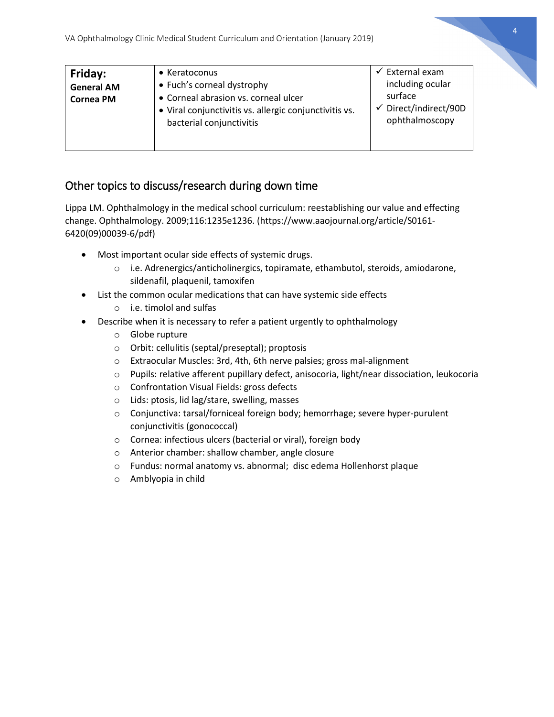|                                                  | VA Ophthalmology Clinic Medical Student Curriculum and Orientation (January 2019)                                                                                                 |                                                                                                            |  |
|--------------------------------------------------|-----------------------------------------------------------------------------------------------------------------------------------------------------------------------------------|------------------------------------------------------------------------------------------------------------|--|
| Friday:<br><b>General AM</b><br><b>Cornea PM</b> | $\bullet$ Keratoconus<br>• Fuch's corneal dystrophy<br>• Corneal abrasion vs. corneal ulcer<br>• Viral conjunctivitis vs. allergic conjunctivitis vs.<br>bacterial conjunctivitis | External exam<br>$\checkmark$<br>including ocular<br>surface<br>Direct/indirect/90D<br>✓<br>ophthalmoscopy |  |

#### Other topics to discuss/research during down time

Lippa LM. Ophthalmology in the medical school curriculum: reestablishing our value and effecting change. Ophthalmology. 2009;116:1235e1236. (https://www.aaojournal.org/article/S0161- 6420(09)00039-6/pdf)

- Most important ocular side effects of systemic drugs.
	- $\circ$  i.e. Adrenergics/anticholinergics, topiramate, ethambutol, steroids, amiodarone, sildenafil, plaquenil, tamoxifen
- List the common ocular medications that can have systemic side effects
	- o i.e. timolol and sulfas
- Describe when it is necessary to refer a patient urgently to ophthalmology
	- o Globe rupture
	- o Orbit: cellulitis (septal/preseptal); proptosis
	- o Extraocular Muscles: 3rd, 4th, 6th nerve palsies; gross mal-alignment
	- o Pupils: relative afferent pupillary defect, anisocoria, light/near dissociation, leukocoria
	- o Confrontation Visual Fields: gross defects
	- o Lids: ptosis, lid lag/stare, swelling, masses
	- o Conjunctiva: tarsal/forniceal foreign body; hemorrhage; severe hyper-purulent conjunctivitis (gonococcal)
	- o Cornea: infectious ulcers (bacterial or viral), foreign body
	- o Anterior chamber: shallow chamber, angle closure
	- o Fundus: normal anatomy vs. abnormal; disc edema Hollenhorst plaque
	- o Amblyopia in child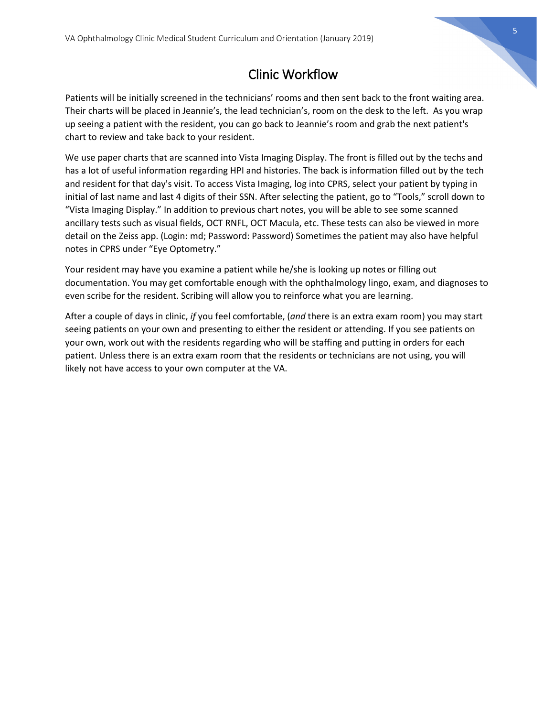# 5

## Clinic Workflow

Patients will be initially screened in the technicians' rooms and then sent back to the front waiting area. Their charts will be placed in Jeannie's, the lead technician's, room on the desk to the left. As you wrap up seeing a patient with the resident, you can go back to Jeannie's room and grab the next patient's chart to review and take back to your resident.

We use paper charts that are scanned into Vista Imaging Display. The front is filled out by the techs and has a lot of useful information regarding HPI and histories. The back is information filled out by the tech and resident for that day's visit. To access Vista Imaging, log into CPRS, select your patient by typing in initial of last name and last 4 digits of their SSN. After selecting the patient, go to "Tools," scroll down to "Vista Imaging Display." In addition to previous chart notes, you will be able to see some scanned ancillary tests such as visual fields, OCT RNFL, OCT Macula, etc. These tests can also be viewed in more detail on the Zeiss app. (Login: md; Password: Password) Sometimes the patient may also have helpful notes in CPRS under "Eye Optometry."

Your resident may have you examine a patient while he/she is looking up notes or filling out documentation. You may get comfortable enough with the ophthalmology lingo, exam, and diagnoses to even scribe for the resident. Scribing will allow you to reinforce what you are learning.

After a couple of days in clinic, *if* you feel comfortable, (*and* there is an extra exam room) you may start seeing patients on your own and presenting to either the resident or attending. If you see patients on your own, work out with the residents regarding who will be staffing and putting in orders for each patient. Unless there is an extra exam room that the residents or technicians are not using, you will likely not have access to your own computer at the VA.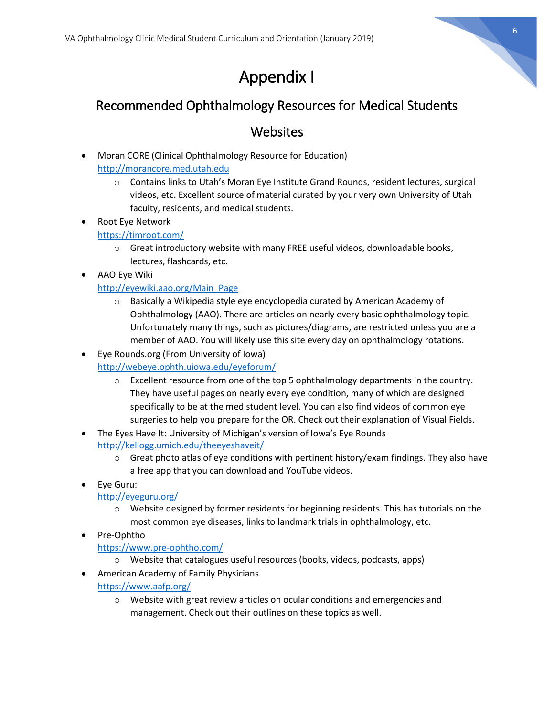

# Appendix I

## Recommended Ophthalmology Resources for Medical Students

### **Websites**

- Moran CORE (Clinical Ophthalmology Resource for Education) [http://morancore.med.utah.edu](http://morancore.med.utah.edu/)
	- o Contains links to Utah's Moran Eye Institute Grand Rounds, resident lectures, surgical videos, etc. Excellent source of material curated by your very own University of Utah faculty, residents, and medical students.
- Root Eye Network <https://timroot.com/>
	- o Great introductory website with many FREE useful videos, downloadable books, lectures, flashcards, etc.
- AAO Eye Wiki

#### [http://eyewiki.aao.org/Main\\_Page](http://eyewiki.aao.org/Main_Page)

- o Basically a Wikipedia style eye encyclopedia curated by American Academy of Ophthalmology (AAO). There are articles on nearly every basic ophthalmology topic. Unfortunately many things, such as pictures/diagrams, are restricted unless you are a member of AAO. You will likely use this site every day on ophthalmology rotations.
- Eye Rounds.org (From University of Iowa) <http://webeye.ophth.uiowa.edu/eyeforum/>
	- o Excellent resource from one of the top 5 ophthalmology departments in the country. They have useful pages on nearly every eye condition, many of which are designed specifically to be at the med student level. You can also find videos of common eye surgeries to help you prepare for the OR. Check out their explanation of Visual Fields.
- The Eyes Have It: University of Michigan's version of Iowa's Eye Rounds <http://kellogg.umich.edu/theeyeshaveit/>
	- $\circ$  Great photo atlas of eye conditions with pertinent history/exam findings. They also have a free app that you can download and YouTube videos.
- Eye Guru:

#### <http://eyeguru.org/>

- $\circ$  Website designed by former residents for beginning residents. This has tutorials on the most common eye diseases, links to landmark trials in ophthalmology, etc.
- Pre-Ophtho

#### <https://www.pre-ophtho.com/>

- o Website that catalogues useful resources (books, videos, podcasts, apps)
- American Academy of Family Physicians

#### <https://www.aafp.org/>

o Website with great review articles on ocular conditions and emergencies and management. Check out their outlines on these topics as well.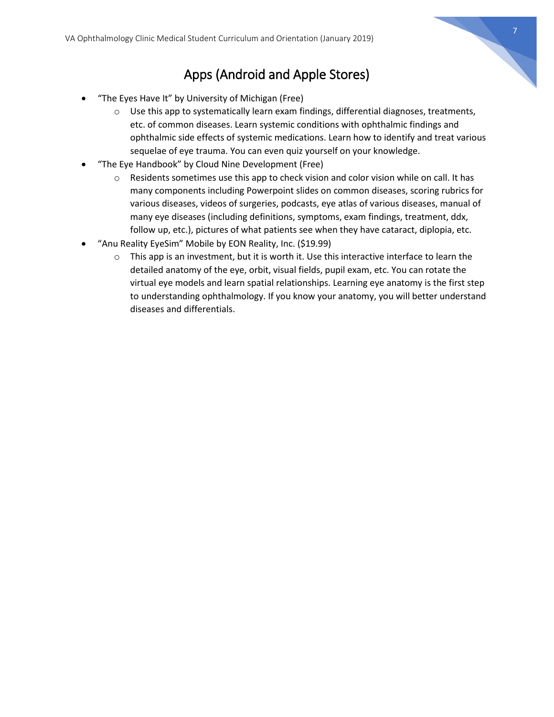

# Apps (Android and Apple Stores)

- "The Eyes Have It" by University of Michigan (Free)
	- $\circ$  Use this app to systematically learn exam findings, differential diagnoses, treatments, etc. of common diseases. Learn systemic conditions with ophthalmic findings and ophthalmic side effects of systemic medications. Learn how to identify and treat various sequelae of eye trauma. You can even quiz yourself on your knowledge.
- "The Eye Handbook" by Cloud Nine Development (Free)
	- $\circ$  Residents sometimes use this app to check vision and color vision while on call. It has many components including Powerpoint slides on common diseases, scoring rubrics for various diseases, videos of surgeries, podcasts, eye atlas of various diseases, manual of many eye diseases (including definitions, symptoms, exam findings, treatment, ddx, follow up, etc.), pictures of what patients see when they have cataract, diplopia, etc.
- "Anu Reality EyeSim" Mobile by EON Reality, Inc. (\$19.99)
	- $\circ$  This app is an investment, but it is worth it. Use this interactive interface to learn the detailed anatomy of the eye, orbit, visual fields, pupil exam, etc. You can rotate the virtual eye models and learn spatial relationships. Learning eye anatomy is the first step to understanding ophthalmology. If you know your anatomy, you will better understand diseases and differentials.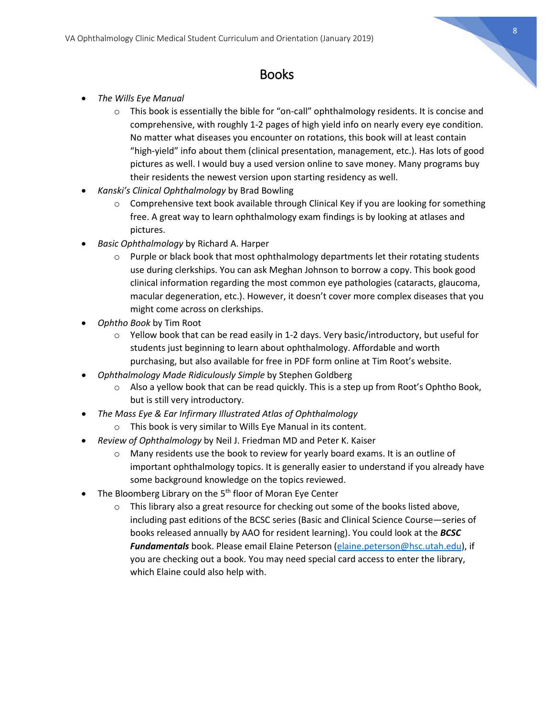

## Books

- *The Wills Eye Manual*
	- $\circ$  This book is essentially the bible for "on-call" ophthalmology residents. It is concise and comprehensive, with roughly 1-2 pages of high yield info on nearly every eye condition. No matter what diseases you encounter on rotations, this book will at least contain "high-yield" info about them (clinical presentation, management, etc.). Has lots of good pictures as well. I would buy a used version online to save money. Many programs buy their residents the newest version upon starting residency as well.
- *Kanski's Clinical Ophthalmology* by Brad Bowling
	- o Comprehensive text book available through Clinical Key if you are looking for something free. A great way to learn ophthalmology exam findings is by looking at atlases and pictures.
- *Basic Ophthalmology* by Richard A. Harper
	- $\circ$  Purple or black book that most ophthalmology departments let their rotating students use during clerkships. You can ask Meghan Johnson to borrow a copy. This book good clinical information regarding the most common eye pathologies (cataracts, glaucoma, macular degeneration, etc.). However, it doesn't cover more complex diseases that you might come across on clerkships.
- *Ophtho Book* by Tim Root
	- $\circ$  Yellow book that can be read easily in 1-2 days. Very basic/introductory, but useful for students just beginning to learn about ophthalmology. Affordable and worth purchasing, but also available for free in PDF form online at Tim Root's website.
- *Ophthalmology Made Ridiculously Simple* by Stephen Goldberg
	- $\circ$  Also a yellow book that can be read quickly. This is a step up from Root's Ophtho Book, but is still very introductory.
- *The Mass Eye & Ear Infirmary Illustrated Atlas of Ophthalmology*
	- o This book is very similar to Wills Eye Manual in its content.
- *Review of Ophthalmology* by Neil J. Friedman MD and Peter K. Kaiser
	- $\circ$  Many residents use the book to review for yearly board exams. It is an outline of important ophthalmology topics. It is generally easier to understand if you already have some background knowledge on the topics reviewed.
- The Bloomberg Library on the  $5<sup>th</sup>$  floor of Moran Eye Center
	- o This library also a great resource for checking out some of the books listed above, including past editions of the BCSC series (Basic and Clinical Science Course—series of books released annually by AAO for resident learning). You could look at the *BCSC Fundamentals* book. Please email Elaine Peterson [\(elaine.peterson@hsc.utah.edu\)](mailto:elaine.peterson@hsc.utah.edu), if you are checking out a book. You may need special card access to enter the library, which Elaine could also help with.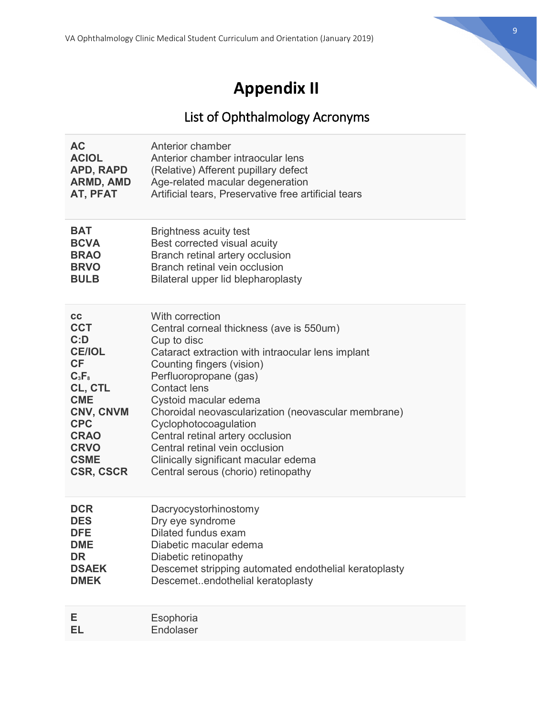

# **Appendix II**

# List of Ophthalmology Acronyms

| <b>AC</b>        | Anterior chamber                                      |
|------------------|-------------------------------------------------------|
| <b>ACIOL</b>     | Anterior chamber intraocular lens                     |
| APD, RAPD        | (Relative) Afferent pupillary defect                  |
| <b>ARMD, AMD</b> | Age-related macular degeneration                      |
| AT, PFAT         | Artificial tears, Preservative free artificial tears  |
| <b>BAT</b>       | <b>Brightness acuity test</b>                         |
| <b>BCVA</b>      | Best corrected visual acuity                          |
| <b>BRAO</b>      | Branch retinal artery occlusion                       |
| <b>BRVO</b>      | Branch retinal vein occlusion                         |
| <b>BULB</b>      | Bilateral upper lid blepharoplasty                    |
| cc               | With correction                                       |
| <b>CCT</b>       | Central corneal thickness (ave is 550um)              |
| C:D              | Cup to disc                                           |
| <b>CE/IOL</b>    | Cataract extraction with intraocular lens implant     |
| <b>CF</b>        | Counting fingers (vision)                             |
| $C_3F_8$         | Perfluoropropane (gas)                                |
| CL, CTL          | <b>Contact lens</b>                                   |
| <b>CME</b>       | Cystoid macular edema                                 |
| <b>CNV, CNVM</b> | Choroidal neovascularization (neovascular membrane)   |
| <b>CPC</b>       | Cyclophotocoagulation                                 |
| <b>CRAO</b>      | Central retinal artery occlusion                      |
| <b>CRVO</b>      | Central retinal vein occlusion                        |
| <b>CSME</b>      | Clinically significant macular edema                  |
| <b>CSR, CSCR</b> | Central serous (chorio) retinopathy                   |
| <b>DCR</b>       | Dacryocystorhinostomy                                 |
| <b>DES</b>       | Dry eye syndrome                                      |
| <b>DFE</b>       | Dilated fundus exam                                   |
| <b>DME</b>       | Diabetic macular edema                                |
| <b>DR</b>        | Diabetic retinopathy                                  |
| <b>DSAEK</b>     | Descemet stripping automated endothelial keratoplasty |
| <b>DMEK</b>      | Descemetendothelial keratoplasty                      |
| Е.               | Esophoria                                             |
| EL               | Endolaser                                             |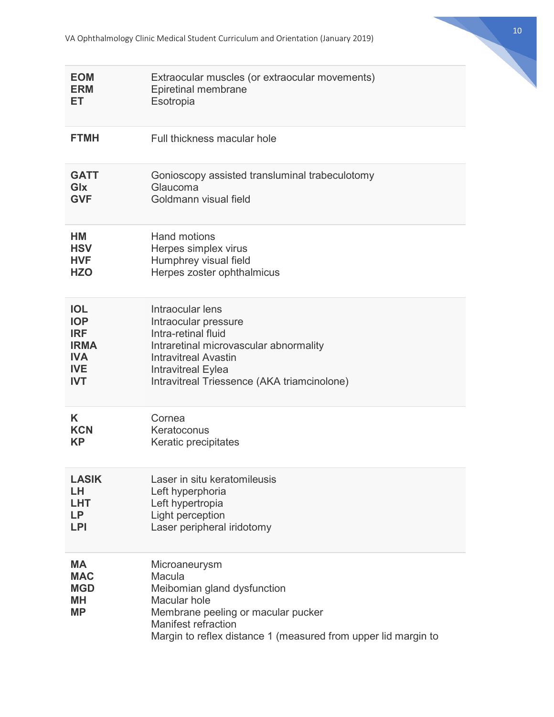| <b>EOM</b>                                                      | Extraocular muscles (or extraocular movements)                                                                                                                                                               |
|-----------------------------------------------------------------|--------------------------------------------------------------------------------------------------------------------------------------------------------------------------------------------------------------|
| <b>ERM</b>                                                      | Epiretinal membrane                                                                                                                                                                                          |
| ET                                                              | Esotropia                                                                                                                                                                                                    |
| <b>FTMH</b>                                                     | Full thickness macular hole                                                                                                                                                                                  |
| <b>GATT</b>                                                     | Gonioscopy assisted transluminal trabeculotomy                                                                                                                                                               |
| Glx                                                             | Glaucoma                                                                                                                                                                                                     |
| <b>GVF</b>                                                      | Goldmann visual field                                                                                                                                                                                        |
| НM                                                              | <b>Hand motions</b>                                                                                                                                                                                          |
| <b>HSV</b>                                                      | Herpes simplex virus                                                                                                                                                                                         |
| <b>HVF</b>                                                      | Humphrey visual field                                                                                                                                                                                        |
| <b>HZO</b>                                                      | Herpes zoster ophthalmicus                                                                                                                                                                                   |
| <b>IOL</b>                                                      | Intraocular lens                                                                                                                                                                                             |
| <b>IOP</b>                                                      | Intraocular pressure                                                                                                                                                                                         |
| <b>IRF</b>                                                      | Intra-retinal fluid                                                                                                                                                                                          |
| <b>IRMA</b>                                                     | Intraretinal microvascular abnormality                                                                                                                                                                       |
| <b>IVA</b>                                                      | <b>Intravitreal Avastin</b>                                                                                                                                                                                  |
| <b>IVE</b>                                                      | <b>Intravitreal Eylea</b>                                                                                                                                                                                    |
| <b>IVT</b>                                                      | Intravitreal Triessence (AKA triamcinolone)                                                                                                                                                                  |
| K                                                               | Cornea                                                                                                                                                                                                       |
| KCN                                                             | Keratoconus                                                                                                                                                                                                  |
| <b>KP</b>                                                       | Keratic precipitates                                                                                                                                                                                         |
| <b>LASIK</b>                                                    | Laser in situ keratomileusis                                                                                                                                                                                 |
| LH                                                              | Left hyperphoria                                                                                                                                                                                             |
| LHT                                                             | Left hypertropia                                                                                                                                                                                             |
| LP.                                                             | Light perception                                                                                                                                                                                             |
| <b>LPI</b>                                                      | Laser peripheral iridotomy                                                                                                                                                                                   |
| <b>MA</b><br><b>MAC</b><br><b>MGD</b><br><b>MH</b><br><b>MP</b> | Microaneurysm<br>Macula<br>Meibomian gland dysfunction<br>Macular hole<br>Membrane peeling or macular pucker<br><b>Manifest refraction</b><br>Margin to reflex distance 1 (measured from upper lid margin to |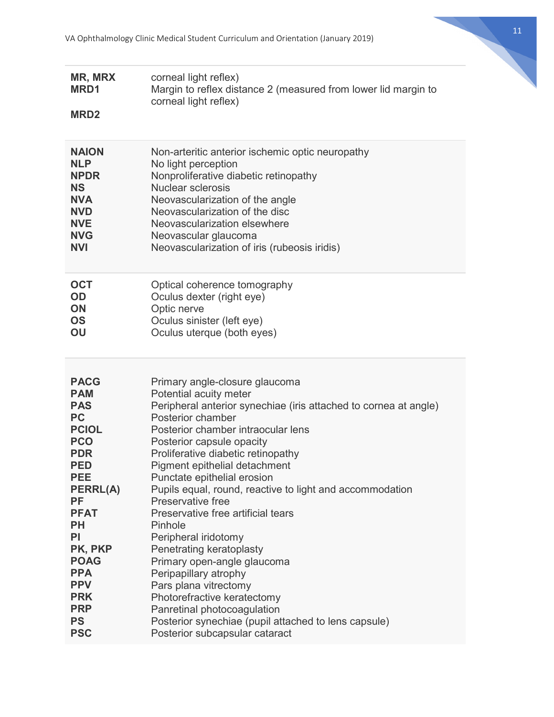

| <b>MR, MRX</b>  | corneal light reflex)                                            |
|-----------------|------------------------------------------------------------------|
| MRD1            | Margin to reflex distance 2 (measured from lower lid margin to   |
| <b>MRD2</b>     | corneal light reflex)                                            |
| <b>NAION</b>    | Non-arteritic anterior ischemic optic neuropathy                 |
| <b>NLP</b>      | No light perception                                              |
| <b>NPDR</b>     | Nonproliferative diabetic retinopathy                            |
| <b>NS</b>       | Nuclear sclerosis                                                |
| <b>NVA</b>      | Neovascularization of the angle                                  |
| <b>NVD</b>      | Neovascularization of the disc                                   |
| <b>NVE</b>      | Neovascularization elsewhere                                     |
| <b>NVG</b>      | Neovascular glaucoma                                             |
| <b>NVI</b>      | Neovascularization of iris (rubeosis iridis)                     |
| <b>OCT</b>      | Optical coherence tomography                                     |
| <b>OD</b>       | Oculus dexter (right eye)                                        |
| <b>ON</b>       | Optic nerve                                                      |
| <b>OS</b>       | Oculus sinister (left eye)                                       |
| OU              | Oculus uterque (both eyes)                                       |
| <b>PACG</b>     | Primary angle-closure glaucoma                                   |
| <b>PAM</b>      | Potential acuity meter                                           |
| <b>PAS</b>      | Peripheral anterior synechiae (iris attached to cornea at angle) |
| <b>PC</b>       | Posterior chamber                                                |
| <b>PCIOL</b>    | Posterior chamber intraocular lens                               |
| <b>PCO</b>      | Posterior capsule opacity                                        |
| <b>PDR</b>      | Proliferative diabetic retinopathy                               |
| <b>PED</b>      | Pigment epithelial detachment                                    |
| <b>PEE</b>      | Punctate epithelial erosion                                      |
| <b>PERRL(A)</b> | Pupils equal, round, reactive to light and accommodation         |
| <b>PF</b>       | Preservative free                                                |
| <b>PFAT</b>     | Preservative free artificial tears                               |
| <b>PH</b>       | Pinhole                                                          |
| <b>PI</b>       | Peripheral iridotomy                                             |
| PK, PKP         | Penetrating keratoplasty                                         |
| <b>POAG</b>     | Primary open-angle glaucoma                                      |
| <b>PPA</b>      | Peripapillary atrophy                                            |
| <b>PPV</b>      | Pars plana vitrectomy                                            |
| <b>PRK</b>      | Photorefractive keratectomy                                      |
| <b>PRP</b>      | Panretinal photocoagulation                                      |
| <b>PS</b>       | Posterior synechiae (pupil attached to lens capsule)             |
| <b>PSC</b>      | Posterior subcapsular cataract                                   |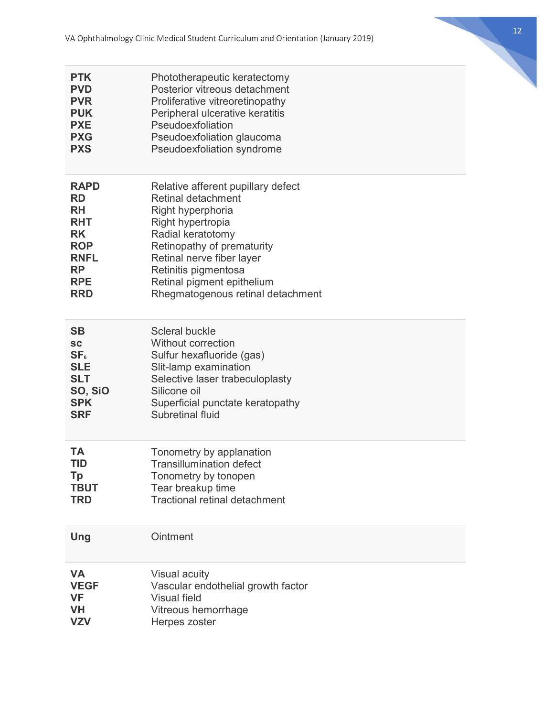12

| <b>PTK</b>      | Phototherapeutic keratectomy         |
|-----------------|--------------------------------------|
| <b>PVD</b>      | Posterior vitreous detachment        |
| <b>PVR</b>      | Proliferative vitreoretinopathy      |
| <b>PUK</b>      | Peripheral ulcerative keratitis      |
| <b>PXE</b>      | Pseudoexfoliation                    |
| <b>PXG</b>      | Pseudoexfoliation glaucoma           |
| <b>PXS</b>      | Pseudoexfoliation syndrome           |
| <b>RAPD</b>     | Relative afferent pupillary defect   |
| <b>RD</b>       | Retinal detachment                   |
| <b>RH</b>       | Right hyperphoria                    |
| <b>RHT</b>      | Right hypertropia                    |
| <b>RK</b>       | Radial keratotomy                    |
| <b>ROP</b>      | Retinopathy of prematurity           |
| <b>RNFL</b>     | Retinal nerve fiber layer            |
| <b>RP</b>       | Retinitis pigmentosa                 |
| <b>RPE</b>      | Retinal pigment epithelium           |
| <b>RRD</b>      | Rhegmatogenous retinal detachment    |
| <b>SB</b>       | Scleral buckle                       |
| <b>SC</b>       | <b>Without correction</b>            |
| SF <sub>6</sub> | Sulfur hexafluoride (gas)            |
| <b>SLE</b>      | Slit-lamp examination                |
| <b>SLT</b>      | Selective laser trabeculoplasty      |
| SO, SiO         | Silicone oil                         |
| <b>SPK</b>      | Superficial punctate keratopathy     |
| <b>SRF</b>      | Subretinal fluid                     |
| <b>TA</b>       | Tonometry by applanation             |
| TID             | <b>Transillumination defect</b>      |
| <b>Tp</b>       | Tonometry by tonopen                 |
| <b>TBUT</b>     | Tear breakup time                    |
| <b>TRD</b>      | <b>Tractional retinal detachment</b> |
| Ung             | Ointment                             |
| <b>VA</b>       | <b>Visual acuity</b>                 |
| <b>VEGF</b>     | Vascular endothelial growth factor   |
| <b>VF</b>       | <b>Visual field</b>                  |
| <b>VH</b>       | Vitreous hemorrhage                  |
| <b>VZV</b>      | Herpes zoster                        |